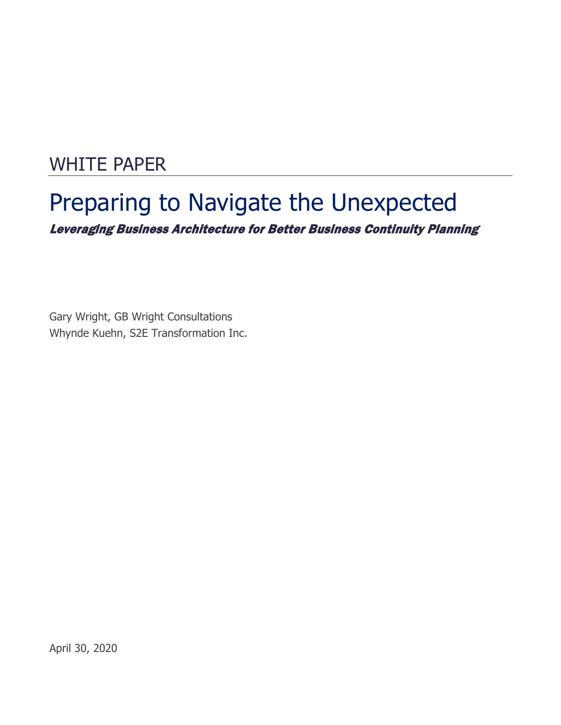# WHITE PAPER

# Preparing to Navigate the Unexpected Leveraging Business Architecture for Better Business Continuity Planning

Gary Wright, GB Wright Consultations Whynde Kuehn, S2E Transformation Inc.

April 30, 2020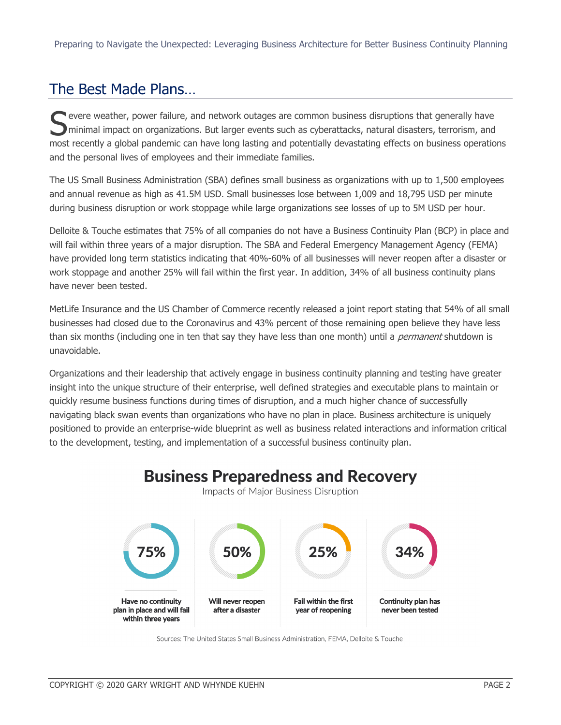## The Best Made Plans…

evere weather, power failure, and network outages are common business disruptions that generally have minimal impact on organizations. But larger events such as cyberattacks, natural disasters, terrorism, and Sumer ever weather, power failure, and network outages are common business disruptions that generally have<br>
minimal impact on organizations. But larger events such as cyberattacks, natural disasters, terrorism, and<br>
most r and the personal lives of employees and their immediate families.

The US Small Business Administration (SBA) defines small business as organizations with up to 1,500 employees and annual revenue as high as 41.5M USD. Small businesses lose between 1,009 and 18,795 USD per minute during business disruption or work stoppage while large organizations see losses of up to 5M USD per hour.

Delloite & Touche estimates that 75% of all companies do not have a Business Continuity Plan (BCP) in place and will fail within three years of a major disruption. The SBA and Federal Emergency Management Agency (FEMA) have provided long term statistics indicating that 40%-60% of all businesses will never reopen after a disaster or work stoppage and another 25% will fail within the first year. In addition, 34% of all business continuity plans have never been tested.

MetLife Insurance and the US Chamber of Commerce recently released a joint report stating that 54% of all small businesses had closed due to the Coronavirus and 43% percent of those remaining open believe they have less than six months (including one in ten that say they have less than one month) until a *permanent* shutdown is unavoidable.

Organizations and their leadership that actively engage in business continuity planning and testing have greater insight into the unique structure of their enterprise, well defined strategies and executable plans to maintain or quickly resume business functions during times of disruption, and a much higher chance of successfully navigating black swan events than organizations who have no plan in place. Business architecture is uniquely positioned to provide an enterprise-wide blueprint as well as business related interactions and information critical to the development, testing, and implementation of a successful business continuity plan.



Sources: The United States Small Business Administration, FEMA, Delloite & Touche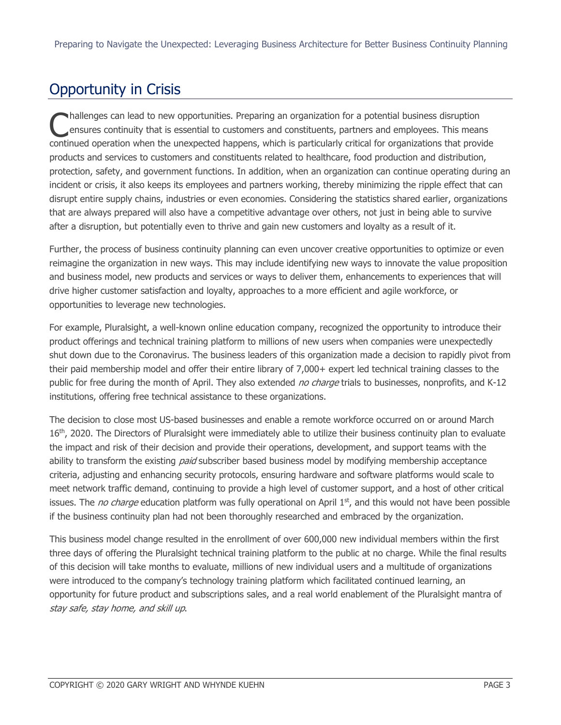# Opportunity in Crisis

hallenges can lead to new opportunities. Preparing an organization for a potential business disruption ensures continuity that is essential to customers and constituents, partners and employees. This means continued operation when the unexpected happens, which is particularly critical for organizations that provide<br>
continued operation when the unexpected happens, which is particularly critical for organizations that provide products and services to customers and constituents related to healthcare, food production and distribution, protection, safety, and government functions. In addition, when an organization can continue operating during an incident or crisis, it also keeps its employees and partners working, thereby minimizing the ripple effect that can disrupt entire supply chains, industries or even economies. Considering the statistics shared earlier, organizations that are always prepared will also have a competitive advantage over others, not just in being able to survive after a disruption, but potentially even to thrive and gain new customers and loyalty as a result of it.

Further, the process of business continuity planning can even uncover creative opportunities to optimize or even reimagine the organization in new ways. This may include identifying new ways to innovate the value proposition and business model, new products and services or ways to deliver them, enhancements to experiences that will drive higher customer satisfaction and loyalty, approaches to a more efficient and agile workforce, or opportunities to leverage new technologies.

For example, Pluralsight, a well-known online education company, recognized the opportunity to introduce their product offerings and technical training platform to millions of new users when companies were unexpectedly shut down due to the Coronavirus. The business leaders of this organization made a decision to rapidly pivot from their paid membership model and offer their entire library of 7,000+ expert led technical training classes to the public for free during the month of April. They also extended no charge trials to businesses, nonprofits, and K-12 institutions, offering free technical assistance to these organizations.

The decision to close most US-based businesses and enable a remote workforce occurred on or around March 16<sup>th</sup>, 2020. The Directors of Pluralsight were immediately able to utilize their business continuity plan to evaluate the impact and risk of their decision and provide their operations, development, and support teams with the ability to transform the existing *paid* subscriber based business model by modifying membership acceptance criteria, adjusting and enhancing security protocols, ensuring hardware and software platforms would scale to meet network traffic demand, continuing to provide a high level of customer support, and a host of other critical issues. The *no charge* education platform was fully operational on April  $1<sup>st</sup>$ , and this would not have been possible if the business continuity plan had not been thoroughly researched and embraced by the organization.

This business model change resulted in the enrollment of over 600,000 new individual members within the first three days of offering the Pluralsight technical training platform to the public at no charge. While the final results of this decision will take months to evaluate, millions of new individual users and a multitude of organizations were introduced to the company's technology training platform which facilitated continued learning, an opportunity for future product and subscriptions sales, and a real world enablement of the Pluralsight mantra of stay safe, stay home, and skill up.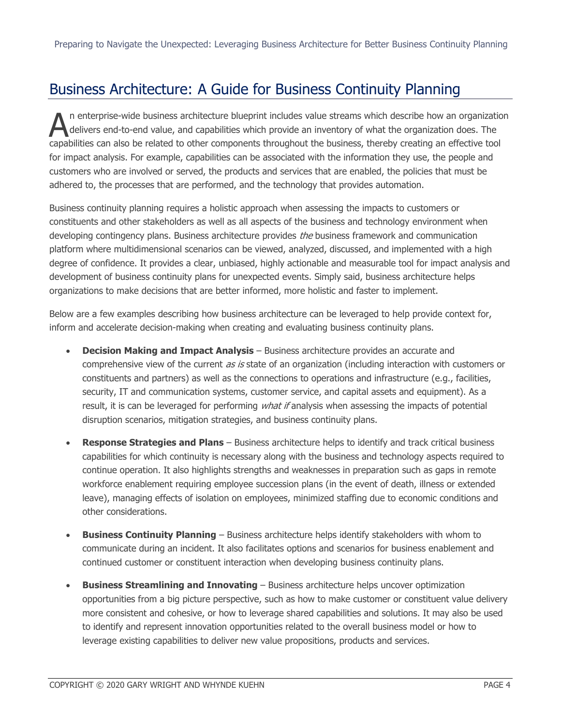### Business Architecture: A Guide for Business Continuity Planning

n enterprise-wide business architecture blueprint includes value streams which describe how an organization delivers end-to-end value, and capabilities which provide an inventory of what the organization does. The The enterprise-wide business architecture blueprint includes value streams which describe how an organization<br>delivers end-to-end value, and capabilities which provide an inventory of what the organization does. The<br>capabi for impact analysis. For example, capabilities can be associated with the information they use, the people and customers who are involved or served, the products and services that are enabled, the policies that must be adhered to, the processes that are performed, and the technology that provides automation.

Business continuity planning requires a holistic approach when assessing the impacts to customers or constituents and other stakeholders as well as all aspects of the business and technology environment when developing contingency plans. Business architecture provides *the* business framework and communication platform where multidimensional scenarios can be viewed, analyzed, discussed, and implemented with a high degree of confidence. It provides a clear, unbiased, highly actionable and measurable tool for impact analysis and development of business continuity plans for unexpected events. Simply said, business architecture helps organizations to make decisions that are better informed, more holistic and faster to implement.

Below are a few examples describing how business architecture can be leveraged to help provide context for, inform and accelerate decision-making when creating and evaluating business continuity plans.

- **Decision Making and Impact Analysis** Business architecture provides an accurate and comprehensive view of the current as is state of an organization (including interaction with customers or constituents and partners) as well as the connections to operations and infrastructure (e.g., facilities, security, IT and communication systems, customer service, and capital assets and equipment). As a result, it is can be leveraged for performing *what if* analysis when assessing the impacts of potential disruption scenarios, mitigation strategies, and business continuity plans.
- **Response Strategies and Plans** Business architecture helps to identify and track critical business capabilities for which continuity is necessary along with the business and technology aspects required to continue operation. It also highlights strengths and weaknesses in preparation such as gaps in remote workforce enablement requiring employee succession plans (in the event of death, illness or extended leave), managing effects of isolation on employees, minimized staffing due to economic conditions and other considerations.
- **Business Continuity Planning** Business architecture helps identify stakeholders with whom to communicate during an incident. It also facilitates options and scenarios for business enablement and continued customer or constituent interaction when developing business continuity plans.
- **Business Streamlining and Innovating**  Business architecture helps uncover optimization opportunities from a big picture perspective, such as how to make customer or constituent value delivery more consistent and cohesive, or how to leverage shared capabilities and solutions. It may also be used to identify and represent innovation opportunities related to the overall business model or how to leverage existing capabilities to deliver new value propositions, products and services.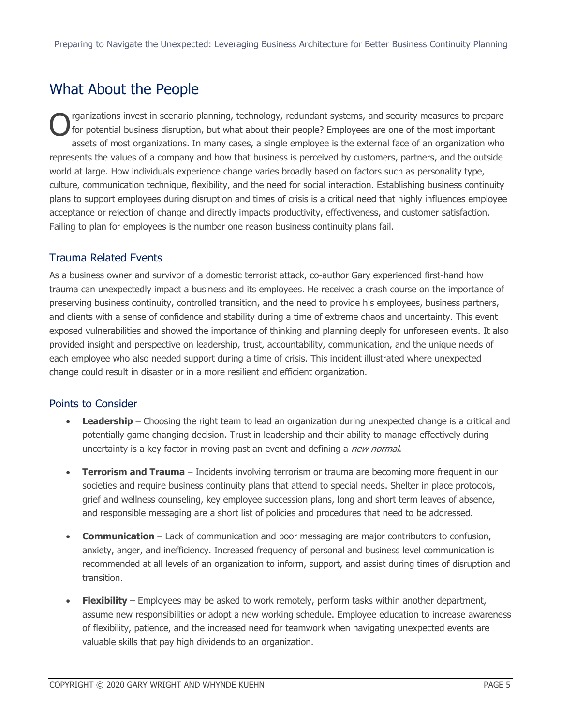### What About the People

rganizations invest in scenario planning, technology, redundant systems, and security measures to prepare for potential business disruption, but what about their people? Employees are one of the most important assets of most organizations. In many cases, a single employee is the external face of an organization who represents the values of a company and how that business is perceived by customers, partners, and the outside world at large. How individuals experience change varies broadly based on factors such as personality type, culture, communication technique, flexibility, and the need for social interaction. Establishing business continuity plans to support employees during disruption and times of crisis is a critical need that highly influences employee acceptance or rejection of change and directly impacts productivity, effectiveness, and customer satisfaction. Failing to plan for employees is the number one reason business continuity plans fail. O

#### Trauma Related Events

As a business owner and survivor of a domestic terrorist attack, co-author Gary experienced first-hand how trauma can unexpectedly impact a business and its employees. He received a crash course on the importance of preserving business continuity, controlled transition, and the need to provide his employees, business partners, and clients with a sense of confidence and stability during a time of extreme chaos and uncertainty. This event exposed vulnerabilities and showed the importance of thinking and planning deeply for unforeseen events. It also provided insight and perspective on leadership, trust, accountability, communication, and the unique needs of each employee who also needed support during a time of crisis. This incident illustrated where unexpected change could result in disaster or in a more resilient and efficient organization.

#### Points to Consider

- **Leadership** Choosing the right team to lead an organization during unexpected change is a critical and potentially game changing decision. Trust in leadership and their ability to manage effectively during uncertainty is a key factor in moving past an event and defining a new normal.
- **Terrorism and Trauma** Incidents involving terrorism or trauma are becoming more frequent in our societies and require business continuity plans that attend to special needs. Shelter in place protocols, grief and wellness counseling, key employee succession plans, long and short term leaves of absence, and responsible messaging are a short list of policies and procedures that need to be addressed.
- **Communication** Lack of communication and poor messaging are major contributors to confusion, anxiety, anger, and inefficiency. Increased frequency of personal and business level communication is recommended at all levels of an organization to inform, support, and assist during times of disruption and transition.
- **Flexibility**  Employees may be asked to work remotely, perform tasks within another department, assume new responsibilities or adopt a new working schedule. Employee education to increase awareness of flexibility, patience, and the increased need for teamwork when navigating unexpected events are valuable skills that pay high dividends to an organization.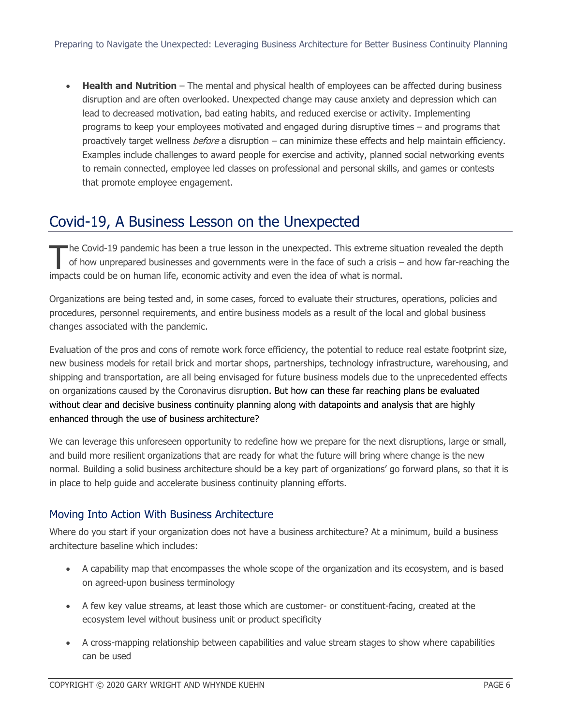• **Health and Nutrition** – The mental and physical health of employees can be affected during business disruption and are often overlooked. Unexpected change may cause anxiety and depression which can lead to decreased motivation, bad eating habits, and reduced exercise or activity. Implementing programs to keep your employees motivated and engaged during disruptive times – and programs that proactively target wellness *before* a disruption – can minimize these effects and help maintain efficiency. Examples include challenges to award people for exercise and activity, planned social networking events to remain connected, employee led classes on professional and personal skills, and games or contests that promote employee engagement.

### Covid-19, A Business Lesson on the Unexpected

he Covid-19 pandemic has been a true lesson in the unexpected. This extreme situation revealed the depth of how unprepared businesses and governments were in the face of such a crisis – and how far-reaching the The Covid-19 pandemic has been a true lesson in the unexpected. This extreme situal of how unprepared businesses and governments were in the face of such a crisis – impacts could be on human life, economic activity and eve

Organizations are being tested and, in some cases, forced to evaluate their structures, operations, policies and procedures, personnel requirements, and entire business models as a result of the local and global business changes associated with the pandemic.

Evaluation of the pros and cons of remote work force efficiency, the potential to reduce real estate footprint size, new business models for retail brick and mortar shops, partnerships, technology infrastructure, warehousing, and shipping and transportation, are all being envisaged for future business models due to the unprecedented effects on organizations caused by the Coronavirus disruption. But how can these far reaching plans be evaluated without clear and decisive business continuity planning along with datapoints and analysis that are highly enhanced through the use of business architecture?

We can leverage this unforeseen opportunity to redefine how we prepare for the next disruptions, large or small, and build more resilient organizations that are ready for what the future will bring where change is the new normal. Building a solid business architecture should be a key part of organizations' go forward plans, so that it is in place to help guide and accelerate business continuity planning efforts.

#### Moving Into Action With Business Architecture

Where do you start if your organization does not have a business architecture? At a minimum, build a business architecture baseline which includes:

- A capability map that encompasses the whole scope of the organization and its ecosystem, and is based on agreed-upon business terminology
- A few key value streams, at least those which are customer- or constituent-facing, created at the ecosystem level without business unit or product specificity
- A cross-mapping relationship between capabilities and value stream stages to show where capabilities can be used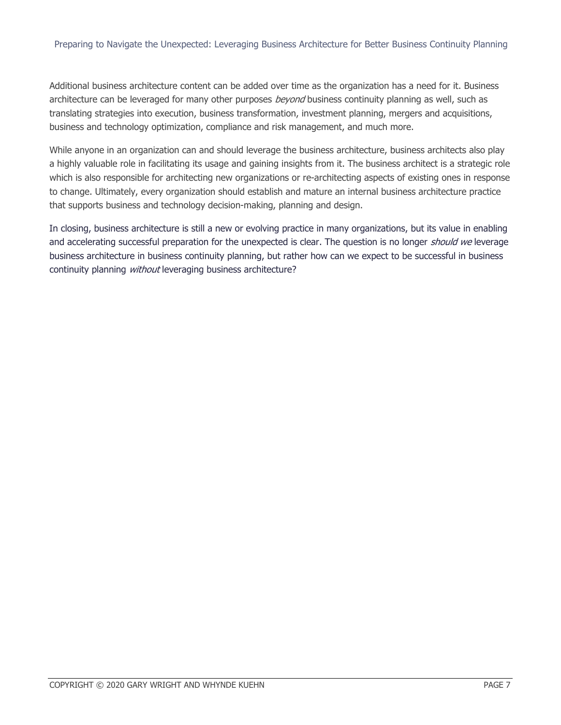Additional business architecture content can be added over time as the organization has a need for it. Business architecture can be leveraged for many other purposes *beyond* business continuity planning as well, such as translating strategies into execution, business transformation, investment planning, mergers and acquisitions, business and technology optimization, compliance and risk management, and much more.

While anyone in an organization can and should leverage the business architecture, business architects also play a highly valuable role in facilitating its usage and gaining insights from it. The business architect is a strategic role which is also responsible for architecting new organizations or re-architecting aspects of existing ones in response to change. Ultimately, every organization should establish and mature an internal business architecture practice that supports business and technology decision-making, planning and design.

In closing, business architecture is still a new or evolving practice in many organizations, but its value in enabling and accelerating successful preparation for the unexpected is clear. The question is no longer should we leverage business architecture in business continuity planning, but rather how can we expect to be successful in business continuity planning *without* leveraging business architecture?